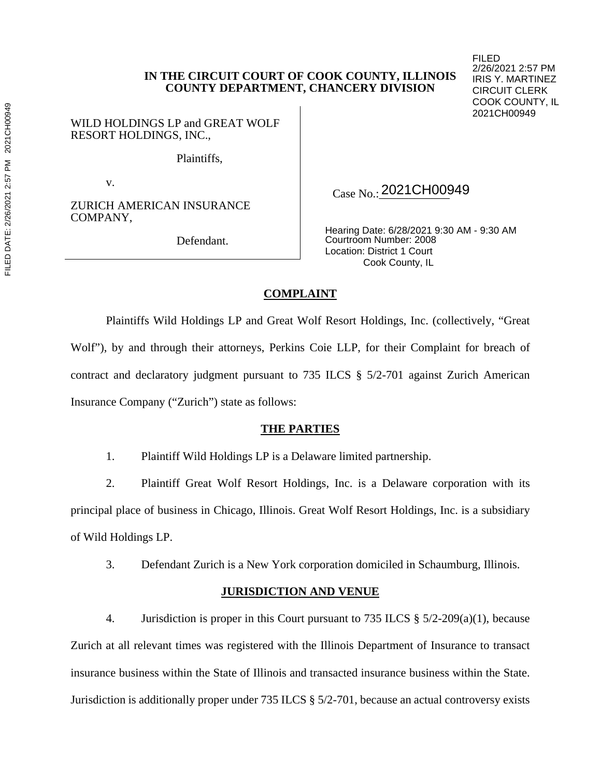WILD HOLDINGS LP and GREAT WOLF RESORT HOLDINGS, INC.,

Plaintiffs,

v.

ZURICH AMERICAN INSURANCE COMPANY,

Defendant.

Case No.: 2021CH00949

Hearing Date: 6/28/2021 9:30 AM - 9:30 AM Courtroom Number: 2008 Location: District 1 Court Cook County, IL

FILED

2/26/2021 2:57 PM IRIS Y. MARTINEZ CIRCUIT CLERK COOK COUNTY, IL 2021CH00949

# **COMPLAINT**

Plaintiffs Wild Holdings LP and Great Wolf Resort Holdings, Inc. (collectively, "Great Wolf"), by and through their attorneys, Perkins Coie LLP, for their Complaint for breach of contract and declaratory judgment pursuant to 735 ILCS § 5/2-701 against Zurich American Insurance Company ("Zurich") state as follows:

### **THE PARTIES**

1. Plaintiff Wild Holdings LP is a Delaware limited partnership.

2. Plaintiff Great Wolf Resort Holdings, Inc. is a Delaware corporation with its principal place of business in Chicago, Illinois. Great Wolf Resort Holdings, Inc. is a subsidiary of Wild Holdings LP.

3. Defendant Zurich is a New York corporation domiciled in Schaumburg, Illinois.

# **JURISDICTION AND VENUE**

4. Jurisdiction is proper in this Court pursuant to 735 ILCS § 5/2-209(a)(1), because Zurich at all relevant times was registered with the Illinois Department of Insurance to transact insurance business within the State of Illinois and transacted insurance business within the State. Jurisdiction is additionally proper under 735 ILCS § 5/2-701, because an actual controversy exists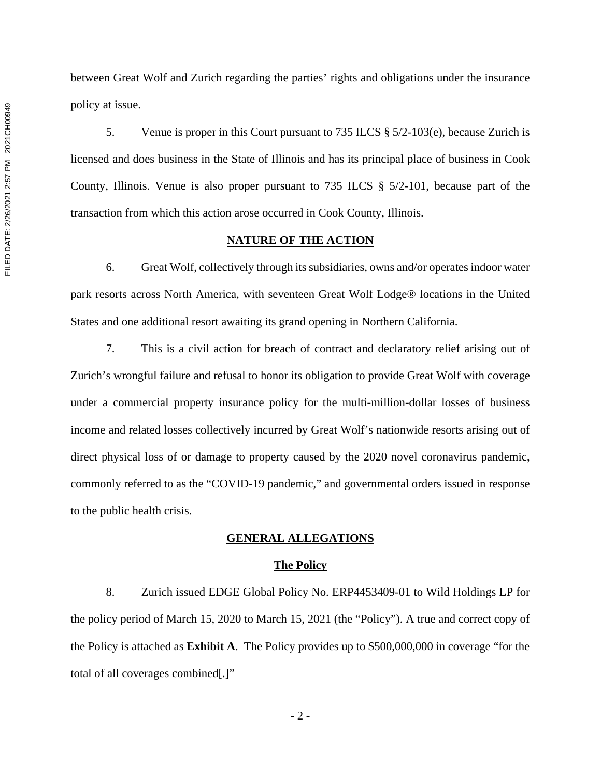between Great Wolf and Zurich regarding the parties' rights and obligations under the insurance policy at issue.

5. Venue is proper in this Court pursuant to 735 ILCS  $\S 5/2-103(e)$ , because Zurich is licensed and does business in the State of Illinois and has its principal place of business in Cook County, Illinois. Venue is also proper pursuant to 735 ILCS § 5/2-101, because part of the transaction from which this action arose occurred in Cook County, Illinois.

#### **NATURE OF THE ACTION**

6. Great Wolf, collectively through its subsidiaries, owns and/or operates indoor water park resorts across North America, with seventeen Great Wolf Lodge® locations in the United States and one additional resort awaiting its grand opening in Northern California.

7. This is a civil action for breach of contract and declaratory relief arising out of Zurich's wrongful failure and refusal to honor its obligation to provide Great Wolf with coverage under a commercial property insurance policy for the multi-million-dollar losses of business income and related losses collectively incurred by Great Wolf's nationwide resorts arising out of direct physical loss of or damage to property caused by the 2020 novel coronavirus pandemic, commonly referred to as the "COVID-19 pandemic," and governmental orders issued in response to the public health crisis.

### **GENERAL ALLEGATIONS**

#### **The Policy**

8. Zurich issued EDGE Global Policy No. ERP4453409-01 to Wild Holdings LP for the policy period of March 15, 2020 to March 15, 2021 (the "Policy"). A true and correct copy of the Policy is attached as **Exhibit A**. The Policy provides up to \$500,000,000 in coverage "for the total of all coverages combined[.]"

- 2 -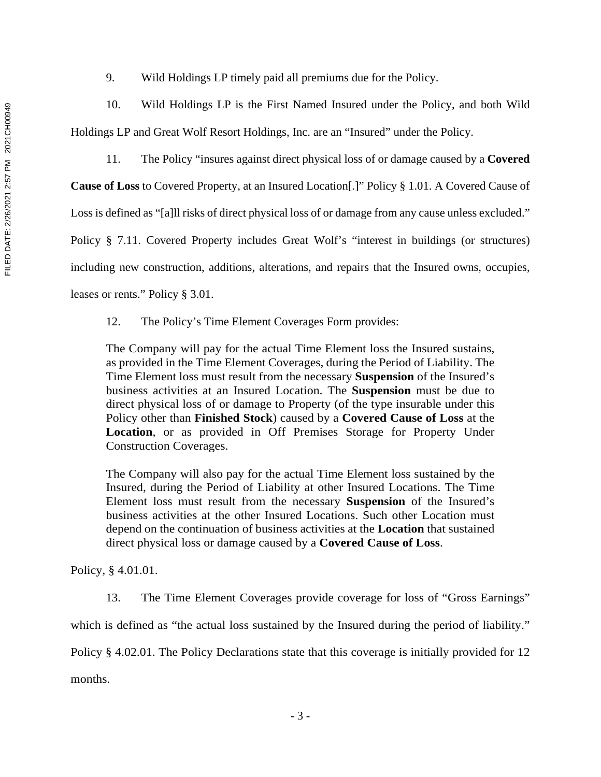9. Wild Holdings LP timely paid all premiums due for the Policy.

10. Wild Holdings LP is the First Named Insured under the Policy, and both Wild Holdings LP and Great Wolf Resort Holdings, Inc. are an "Insured" under the Policy.

11. The Policy "insures against direct physical loss of or damage caused by a **Covered** 

**Cause of Loss** to Covered Property, at an Insured Location[.]" Policy § 1.01. A Covered Cause of

Loss is defined as "[a]ll risks of direct physical loss of or damage from any cause unless excluded."

Policy § 7.11. Covered Property includes Great Wolf's "interest in buildings (or structures)

including new construction, additions, alterations, and repairs that the Insured owns, occupies,

leases or rents." Policy § 3.01.

12. The Policy's Time Element Coverages Form provides:

The Company will pay for the actual Time Element loss the Insured sustains, as provided in the Time Element Coverages, during the Period of Liability. The Time Element loss must result from the necessary **Suspension** of the Insured's business activities at an Insured Location. The **Suspension** must be due to direct physical loss of or damage to Property (of the type insurable under this Policy other than **Finished Stock**) caused by a **Covered Cause of Loss** at the **Location**, or as provided in Off Premises Storage for Property Under Construction Coverages.

The Company will also pay for the actual Time Element loss sustained by the Insured, during the Period of Liability at other Insured Locations. The Time Element loss must result from the necessary **Suspension** of the Insured's business activities at the other Insured Locations. Such other Location must depend on the continuation of business activities at the **Location** that sustained direct physical loss or damage caused by a **Covered Cause of Loss**.

Policy, § 4.01.01.

13. The Time Element Coverages provide coverage for loss of "Gross Earnings"

which is defined as "the actual loss sustained by the Insured during the period of liability."

Policy § 4.02.01. The Policy Declarations state that this coverage is initially provided for 12

months.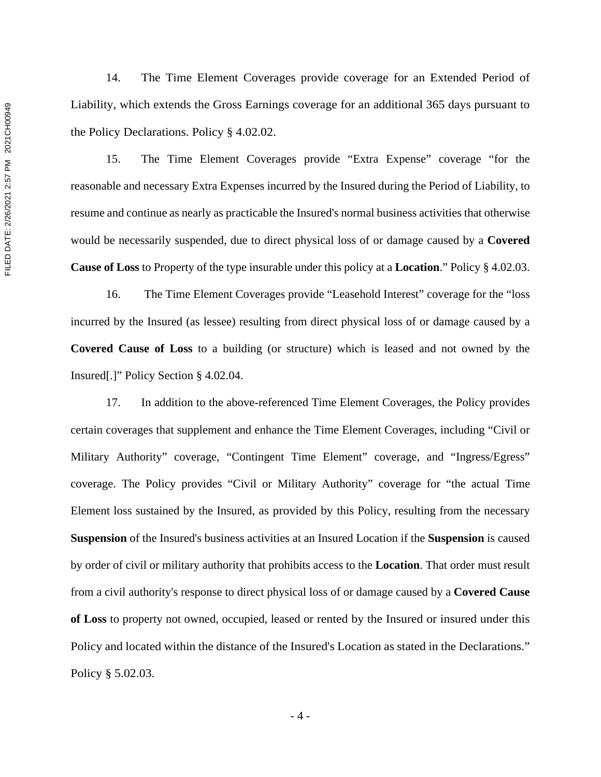14. The Time Element Coverages provide coverage for an Extended Period of Liability, which extends the Gross Earnings coverage for an additional 365 days pursuant to the Policy Declarations. Policy § 4.02.02.

15. The Time Element Coverages provide "Extra Expense" coverage "for the reasonable and necessary Extra Expenses incurred by the Insured during the Period of Liability, to resume and continue as nearly as practicable the Insured's normal business activities that otherwise would be necessarily suspended, due to direct physical loss of or damage caused by a **Covered Cause of Loss** to Property of the type insurable under this policy at a **Location**." Policy § 4.02.03.

16. The Time Element Coverages provide "Leasehold Interest" coverage for the "loss incurred by the Insured (as lessee) resulting from direct physical loss of or damage caused by a **Covered Cause of Loss** to a building (or structure) which is leased and not owned by the Insured[.]" Policy Section § 4.02.04.

17. In addition to the above-referenced Time Element Coverages, the Policy provides certain coverages that supplement and enhance the Time Element Coverages, including "Civil or Military Authority" coverage, "Contingent Time Element" coverage, and "Ingress/Egress" coverage. The Policy provides "Civil or Military Authority" coverage for "the actual Time Element loss sustained by the Insured, as provided by this Policy, resulting from the necessary **Suspension** of the Insured's business activities at an Insured Location if the **Suspension** is caused by order of civil or military authority that prohibits access to the **Location**. That order must result from a civil authority's response to direct physical loss of or damage caused by a **Covered Cause of Loss** to property not owned, occupied, leased or rented by the Insured or insured under this Policy and located within the distance of the Insured's Location as stated in the Declarations." Policy § 5.02.03.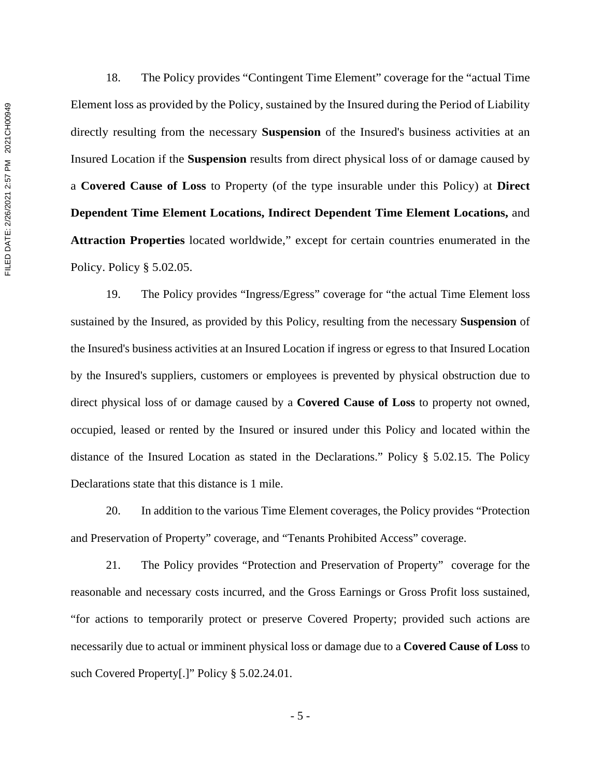18. The Policy provides "Contingent Time Element" coverage for the "actual Time Element loss as provided by the Policy, sustained by the Insured during the Period of Liability directly resulting from the necessary **Suspension** of the Insured's business activities at an Insured Location if the **Suspension** results from direct physical loss of or damage caused by a **Covered Cause of Loss** to Property (of the type insurable under this Policy) at **Direct Dependent Time Element Locations, Indirect Dependent Time Element Locations,** and **Attraction Properties** located worldwide," except for certain countries enumerated in the Policy. Policy § 5.02.05.

19. The Policy provides "Ingress/Egress" coverage for "the actual Time Element loss sustained by the Insured, as provided by this Policy, resulting from the necessary **Suspension** of the Insured's business activities at an Insured Location if ingress or egress to that Insured Location by the Insured's suppliers, customers or employees is prevented by physical obstruction due to direct physical loss of or damage caused by a **Covered Cause of Loss** to property not owned, occupied, leased or rented by the Insured or insured under this Policy and located within the distance of the Insured Location as stated in the Declarations." Policy § 5.02.15. The Policy Declarations state that this distance is 1 mile.

20. In addition to the various Time Element coverages, the Policy provides "Protection and Preservation of Property" coverage, and "Tenants Prohibited Access" coverage.

21. The Policy provides "Protection and Preservation of Property" coverage for the reasonable and necessary costs incurred, and the Gross Earnings or Gross Profit loss sustained, "for actions to temporarily protect or preserve Covered Property; provided such actions are necessarily due to actual or imminent physical loss or damage due to a **Covered Cause of Loss** to such Covered Property[.]" Policy § 5.02.24.01.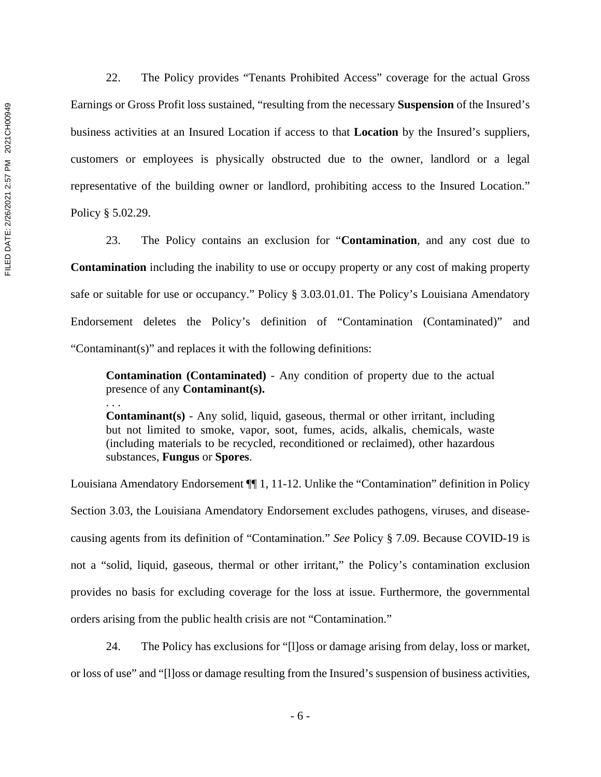22. The Policy provides "Tenants Prohibited Access" coverage for the actual Gross Earnings or Gross Profit loss sustained, "resulting from the necessary **Suspension** of the Insured's business activities at an Insured Location if access to that **Location** by the Insured's suppliers, customers or employees is physically obstructed due to the owner, landlord or a legal representative of the building owner or landlord, prohibiting access to the Insured Location." Policy § 5.02.29.

23. The Policy contains an exclusion for "**Contamination**, and any cost due to **Contamination** including the inability to use or occupy property or any cost of making property safe or suitable for use or occupancy." Policy § 3.03.01.01. The Policy's Louisiana Amendatory Endorsement deletes the Policy's definition of "Contamination (Contaminated)" and "Contaminant(s)" and replaces it with the following definitions:

**Contamination (Contaminated)** - Any condition of property due to the actual presence of any **Contaminant(s).** 

**Contaminant(s)** - Any solid, liquid, gaseous, thermal or other irritant, including but not limited to smoke, vapor, soot, fumes, acids, alkalis, chemicals, waste (including materials to be recycled, reconditioned or reclaimed), other hazardous substances, **Fungus** or **Spores**.

Louisiana Amendatory Endorsement ¶¶ 1, 11-12. Unlike the "Contamination" definition in Policy Section 3.03, the Louisiana Amendatory Endorsement excludes pathogens, viruses, and diseasecausing agents from its definition of "Contamination." *See* Policy § 7.09. Because COVID-19 is not a "solid, liquid, gaseous, thermal or other irritant," the Policy's contamination exclusion provides no basis for excluding coverage for the loss at issue. Furthermore, the governmental orders arising from the public health crisis are not "Contamination."

24. The Policy has exclusions for "[l]oss or damage arising from delay, loss or market, or loss of use" and "[l]oss or damage resulting from the Insured's suspension of business activities,

. . .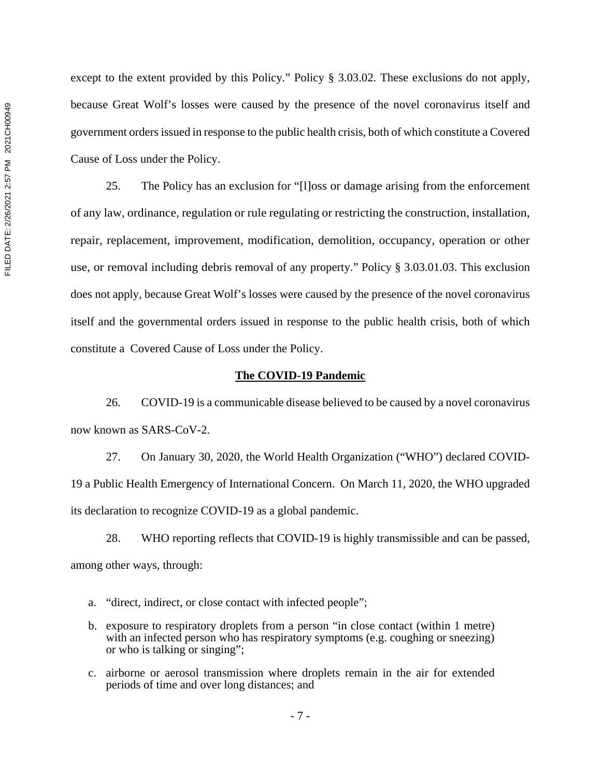except to the extent provided by this Policy." Policy § 3.03.02. These exclusions do not apply, because Great Wolf's losses were caused by the presence of the novel coronavirus itself and government orders issued in response to the public health crisis, both of which constitute a Covered Cause of Loss under the Policy.

25. The Policy has an exclusion for "[l]oss or damage arising from the enforcement of any law, ordinance, regulation or rule regulating or restricting the construction, installation, repair, replacement, improvement, modification, demolition, occupancy, operation or other use, or removal including debris removal of any property." Policy § 3.03.01.03. This exclusion does not apply, because Great Wolf's losses were caused by the presence of the novel coronavirus itself and the governmental orders issued in response to the public health crisis, both of which constitute a Covered Cause of Loss under the Policy.

#### **The COVID-19 Pandemic**

26. COVID-19 is a communicable disease believed to be caused by a novel coronavirus now known as SARS-CoV-2.

27. On January 30, 2020, the World Health Organization ("WHO") declared COVID-19 a Public Health Emergency of International Concern. On March 11, 2020, the WHO upgraded its declaration to recognize COVID-19 as a global pandemic.

28. WHO reporting reflects that COVID-19 is highly transmissible and can be passed, among other ways, through:

- a. "direct, indirect, or close contact with infected people";
- b. exposure to respiratory droplets from a person "in close contact (within 1 metre) with an infected person who has respiratory symptoms (e.g. coughing or sneezing) or who is talking or singing";
- c. airborne or aerosol transmission where droplets remain in the air for extended periods of time and over long distances; and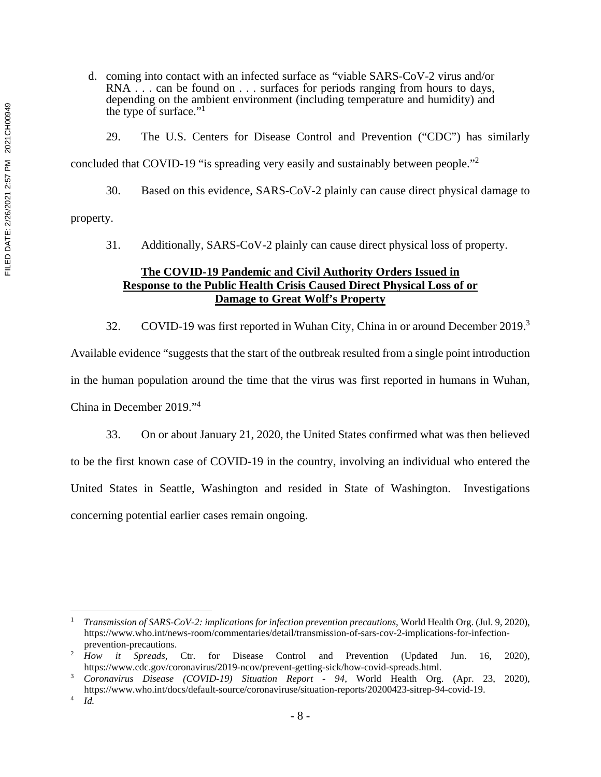d. coming into contact with an infected surface as "viable SARS-CoV-2 virus and/or RNA . . . can be found on . . . surfaces for periods ranging from hours to days, depending on the ambient environment (including temperature and humidity) and the type of surface."1

29. The U.S. Centers for Disease Control and Prevention ("CDC") has similarly

concluded that COVID-19 "is spreading very easily and sustainably between people."2

30. Based on this evidence, SARS-CoV-2 plainly can cause direct physical damage to property.

31. Additionally, SARS-CoV-2 plainly can cause direct physical loss of property.

# **The COVID-19 Pandemic and Civil Authority Orders Issued in Response to the Public Health Crisis Caused Direct Physical Loss of or Damage to Great Wolf's Property**

32. COVID-19 was first reported in Wuhan City, China in or around December 2019.<sup>3</sup> Available evidence "suggests that the start of the outbreak resulted from a single point introduction in the human population around the time that the virus was first reported in humans in Wuhan, China in December 2019."4

33. On or about January 21, 2020, the United States confirmed what was then believed to be the first known case of COVID-19 in the country, involving an individual who entered the United States in Seattle, Washington and resided in State of Washington. Investigations concerning potential earlier cases remain ongoing.

<sup>1</sup> *Transmission of SARS-CoV-2: implications for infection prevention precautions*, World Health Org. (Jul. 9, 2020), https://www.who.int/news-room/commentaries/detail/transmission-of-sars-cov-2-implications-for-infection-

prevention-precautions.<br><sup>2</sup> *How it Spreads*, Ctr. for Disease Control and Prevention (Updated Jun. 16, 2020), https://www.cdc.gov/coronavirus/2019-ncov/prevent-getting-sick/how-covid-spreads.html.<br>3 Coronavirus Disease (COVID-10) Situation Benort 04 World Health Org

*Coronavirus Disease (COVID-19) Situation Report - 94*, World Health Org. (Apr. 23, 2020), https://www.who.int/docs/default-source/coronaviruse/situation-reports/20200423-sitrep-94-covid-19. 4

*Id.*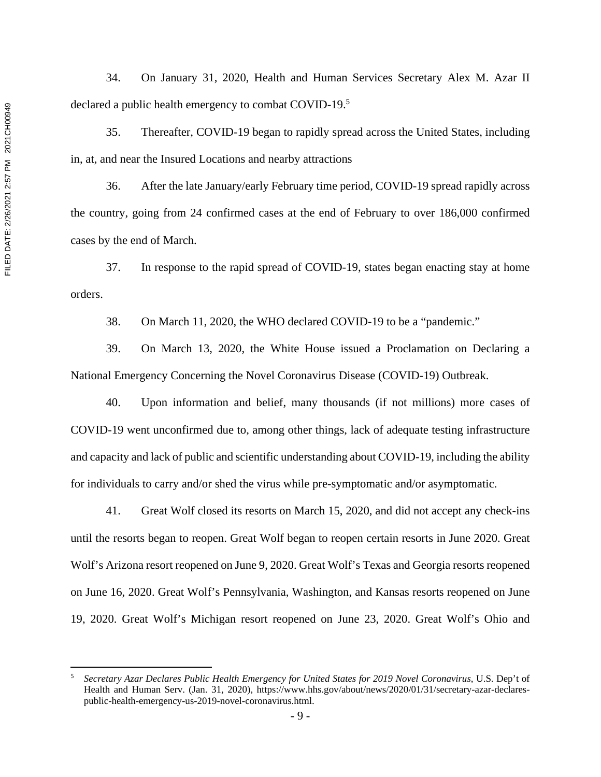34. On January 31, 2020, Health and Human Services Secretary Alex M. Azar II declared a public health emergency to combat COVID-19.5

35. Thereafter, COVID-19 began to rapidly spread across the United States, including in, at, and near the Insured Locations and nearby attractions

36. After the late January/early February time period, COVID-19 spread rapidly across the country, going from 24 confirmed cases at the end of February to over 186,000 confirmed cases by the end of March.

37. In response to the rapid spread of COVID-19, states began enacting stay at home orders.

38. On March 11, 2020, the WHO declared COVID-19 to be a "pandemic."

39. On March 13, 2020, the White House issued a Proclamation on Declaring a National Emergency Concerning the Novel Coronavirus Disease (COVID-19) Outbreak.

40. Upon information and belief, many thousands (if not millions) more cases of COVID-19 went unconfirmed due to, among other things, lack of adequate testing infrastructure and capacity and lack of public and scientific understanding about COVID-19, including the ability for individuals to carry and/or shed the virus while pre-symptomatic and/or asymptomatic.

41. Great Wolf closed its resorts on March 15, 2020, and did not accept any check-ins until the resorts began to reopen. Great Wolf began to reopen certain resorts in June 2020. Great Wolf's Arizona resort reopened on June 9, 2020. Great Wolf's Texas and Georgia resorts reopened on June 16, 2020. Great Wolf's Pennsylvania, Washington, and Kansas resorts reopened on June 19, 2020. Great Wolf's Michigan resort reopened on June 23, 2020. Great Wolf's Ohio and

<sup>5</sup> *Secretary Azar Declares Public Health Emergency for United States for 2019 Novel Coronavirus*, U.S. Dep't of Health and Human Serv. (Jan. 31, 2020), https://www.hhs.gov/about/news/2020/01/31/secretary-azar-declarespublic-health-emergency-us-2019-novel-coronavirus.html.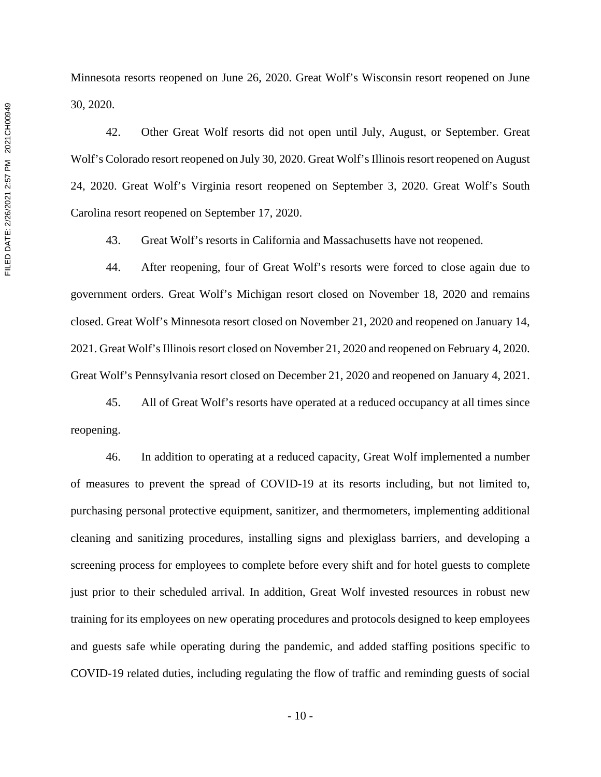Minnesota resorts reopened on June 26, 2020. Great Wolf's Wisconsin resort reopened on June 30, 2020.

42. Other Great Wolf resorts did not open until July, August, or September. Great Wolf's Colorado resort reopened on July 30, 2020. Great Wolf's Illinois resort reopened on August 24, 2020. Great Wolf's Virginia resort reopened on September 3, 2020. Great Wolf's South Carolina resort reopened on September 17, 2020.

43. Great Wolf's resorts in California and Massachusetts have not reopened.

44. After reopening, four of Great Wolf's resorts were forced to close again due to government orders. Great Wolf's Michigan resort closed on November 18, 2020 and remains closed. Great Wolf's Minnesota resort closed on November 21, 2020 and reopened on January 14, 2021. Great Wolf's Illinois resort closed on November 21, 2020 and reopened on February 4, 2020. Great Wolf's Pennsylvania resort closed on December 21, 2020 and reopened on January 4, 2021.

45. All of Great Wolf's resorts have operated at a reduced occupancy at all times since reopening.

46. In addition to operating at a reduced capacity, Great Wolf implemented a number of measures to prevent the spread of COVID-19 at its resorts including, but not limited to, purchasing personal protective equipment, sanitizer, and thermometers, implementing additional cleaning and sanitizing procedures, installing signs and plexiglass barriers, and developing a screening process for employees to complete before every shift and for hotel guests to complete just prior to their scheduled arrival. In addition, Great Wolf invested resources in robust new training for its employees on new operating procedures and protocols designed to keep employees and guests safe while operating during the pandemic, and added staffing positions specific to COVID-19 related duties, including regulating the flow of traffic and reminding guests of social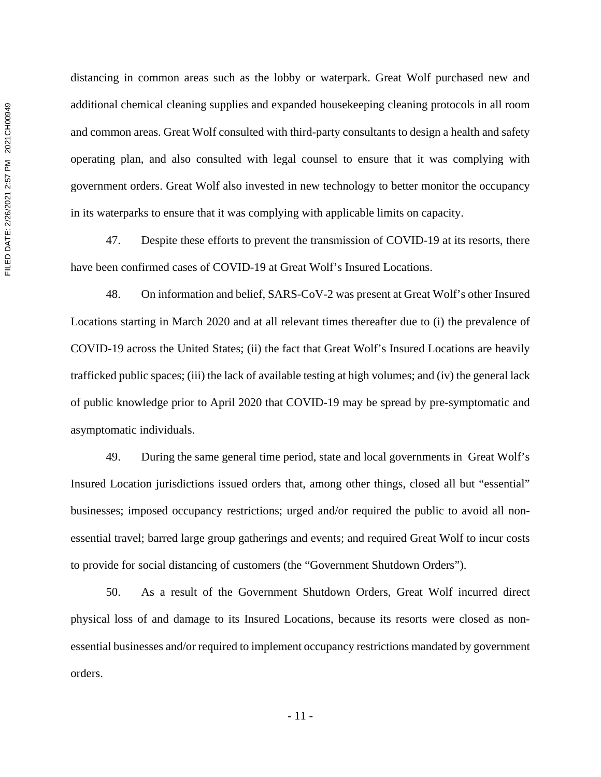distancing in common areas such as the lobby or waterpark. Great Wolf purchased new and additional chemical cleaning supplies and expanded housekeeping cleaning protocols in all room and common areas. Great Wolf consulted with third-party consultants to design a health and safety operating plan, and also consulted with legal counsel to ensure that it was complying with government orders. Great Wolf also invested in new technology to better monitor the occupancy in its waterparks to ensure that it was complying with applicable limits on capacity.

47. Despite these efforts to prevent the transmission of COVID-19 at its resorts, there have been confirmed cases of COVID-19 at Great Wolf's Insured Locations.

48. On information and belief, SARS-CoV-2 was present at Great Wolf's other Insured Locations starting in March 2020 and at all relevant times thereafter due to (i) the prevalence of COVID-19 across the United States; (ii) the fact that Great Wolf's Insured Locations are heavily trafficked public spaces; (iii) the lack of available testing at high volumes; and (iv) the general lack of public knowledge prior to April 2020 that COVID-19 may be spread by pre-symptomatic and asymptomatic individuals.

49. During the same general time period, state and local governments in Great Wolf's Insured Location jurisdictions issued orders that, among other things, closed all but "essential" businesses; imposed occupancy restrictions; urged and/or required the public to avoid all nonessential travel; barred large group gatherings and events; and required Great Wolf to incur costs to provide for social distancing of customers (the "Government Shutdown Orders").

50. As a result of the Government Shutdown Orders, Great Wolf incurred direct physical loss of and damage to its Insured Locations, because its resorts were closed as nonessential businesses and/or required to implement occupancy restrictions mandated by government orders.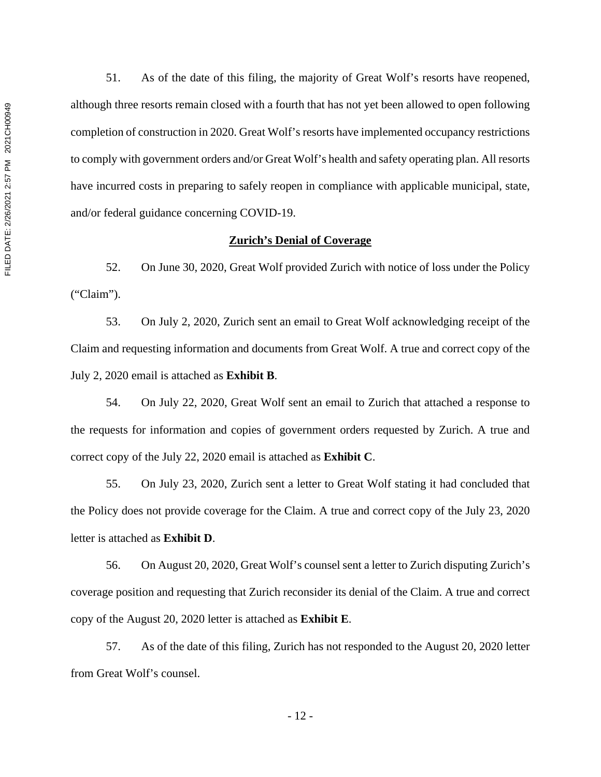51. As of the date of this filing, the majority of Great Wolf's resorts have reopened, although three resorts remain closed with a fourth that has not yet been allowed to open following completion of construction in 2020. Great Wolf's resorts have implemented occupancy restrictions to comply with government orders and/or Great Wolf's health and safety operating plan. All resorts have incurred costs in preparing to safely reopen in compliance with applicable municipal, state, and/or federal guidance concerning COVID-19.

#### **Zurich's Denial of Coverage**

52. On June 30, 2020, Great Wolf provided Zurich with notice of loss under the Policy ("Claim").

53. On July 2, 2020, Zurich sent an email to Great Wolf acknowledging receipt of the Claim and requesting information and documents from Great Wolf. A true and correct copy of the July 2, 2020 email is attached as **Exhibit B**.

54. On July 22, 2020, Great Wolf sent an email to Zurich that attached a response to the requests for information and copies of government orders requested by Zurich. A true and correct copy of the July 22, 2020 email is attached as **Exhibit C**.

55. On July 23, 2020, Zurich sent a letter to Great Wolf stating it had concluded that the Policy does not provide coverage for the Claim. A true and correct copy of the July 23, 2020 letter is attached as **Exhibit D**.

56. On August 20, 2020, Great Wolf's counsel sent a letter to Zurich disputing Zurich's coverage position and requesting that Zurich reconsider its denial of the Claim. A true and correct copy of the August 20, 2020 letter is attached as **Exhibit E**.

57. As of the date of this filing, Zurich has not responded to the August 20, 2020 letter from Great Wolf's counsel.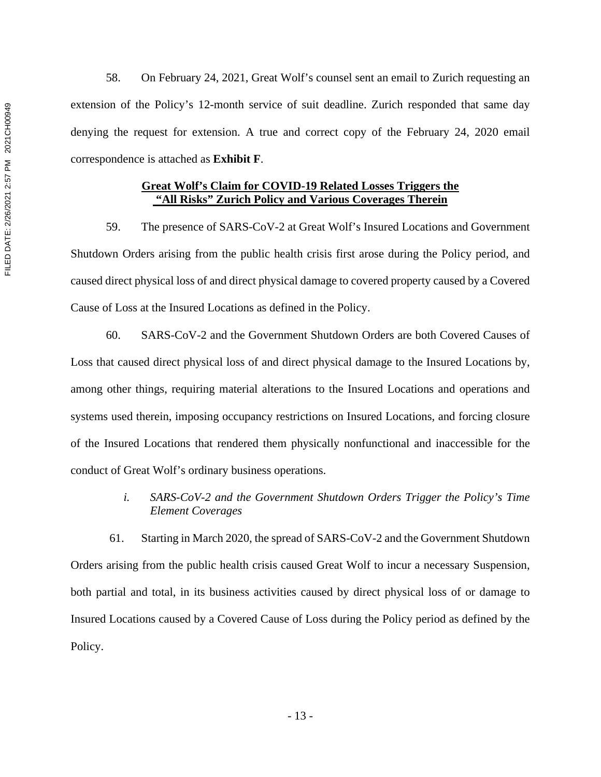58. On February 24, 2021, Great Wolf's counsel sent an email to Zurich requesting an extension of the Policy's 12-month service of suit deadline. Zurich responded that same day denying the request for extension. A true and correct copy of the February 24, 2020 email correspondence is attached as **Exhibit F**.

### **Great Wolf's Claim for COVID-19 Related Losses Triggers the "All Risks" Zurich Policy and Various Coverages Therein**

59. The presence of SARS-CoV-2 at Great Wolf's Insured Locations and Government Shutdown Orders arising from the public health crisis first arose during the Policy period, and caused direct physical loss of and direct physical damage to covered property caused by a Covered Cause of Loss at the Insured Locations as defined in the Policy.

60. SARS-CoV-2 and the Government Shutdown Orders are both Covered Causes of Loss that caused direct physical loss of and direct physical damage to the Insured Locations by, among other things, requiring material alterations to the Insured Locations and operations and systems used therein, imposing occupancy restrictions on Insured Locations, and forcing closure of the Insured Locations that rendered them physically nonfunctional and inaccessible for the conduct of Great Wolf's ordinary business operations.

> *i. SARS-CoV-2 and the Government Shutdown Orders Trigger the Policy's Time Element Coverages*

61. Starting in March 2020, the spread of SARS-CoV-2 and the Government Shutdown Orders arising from the public health crisis caused Great Wolf to incur a necessary Suspension, both partial and total, in its business activities caused by direct physical loss of or damage to Insured Locations caused by a Covered Cause of Loss during the Policy period as defined by the Policy.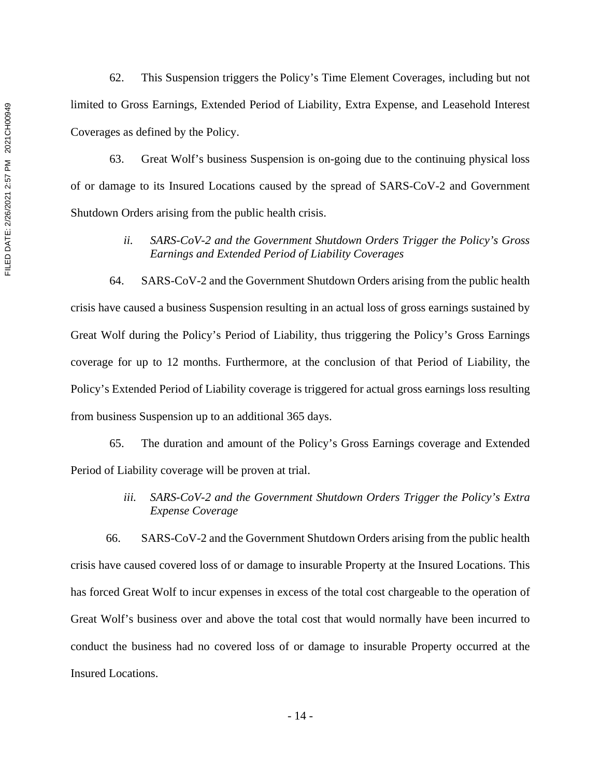62. This Suspension triggers the Policy's Time Element Coverages, including but not limited to Gross Earnings, Extended Period of Liability, Extra Expense, and Leasehold Interest Coverages as defined by the Policy.

63. Great Wolf's business Suspension is on-going due to the continuing physical loss of or damage to its Insured Locations caused by the spread of SARS-CoV-2 and Government Shutdown Orders arising from the public health crisis.

# *ii. SARS-CoV-2 and the Government Shutdown Orders Trigger the Policy's Gross Earnings and Extended Period of Liability Coverages*

64. SARS-CoV-2 and the Government Shutdown Orders arising from the public health crisis have caused a business Suspension resulting in an actual loss of gross earnings sustained by Great Wolf during the Policy's Period of Liability, thus triggering the Policy's Gross Earnings coverage for up to 12 months. Furthermore, at the conclusion of that Period of Liability, the Policy's Extended Period of Liability coverage is triggered for actual gross earnings loss resulting from business Suspension up to an additional 365 days.

65. The duration and amount of the Policy's Gross Earnings coverage and Extended Period of Liability coverage will be proven at trial.

# *iii. SARS-CoV-2 and the Government Shutdown Orders Trigger the Policy's Extra Expense Coverage*

66. SARS-CoV-2 and the Government Shutdown Orders arising from the public health crisis have caused covered loss of or damage to insurable Property at the Insured Locations. This has forced Great Wolf to incur expenses in excess of the total cost chargeable to the operation of Great Wolf's business over and above the total cost that would normally have been incurred to conduct the business had no covered loss of or damage to insurable Property occurred at the Insured Locations.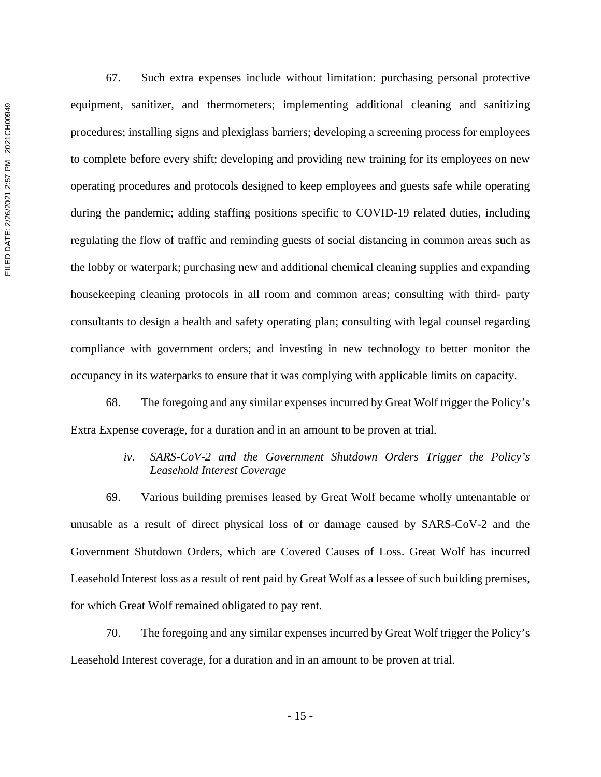FILED DATE: 2/26/2021 2:57 PM 2021CH00949 FILED DATE: 2/26/2021 2:57 PM 2021CH00949

67. Such extra expenses include without limitation: purchasing personal protective equipment, sanitizer, and thermometers; implementing additional cleaning and sanitizing procedures; installing signs and plexiglass barriers; developing a screening process for employees to complete before every shift; developing and providing new training for its employees on new operating procedures and protocols designed to keep employees and guests safe while operating during the pandemic; adding staffing positions specific to COVID-19 related duties, including regulating the flow of traffic and reminding guests of social distancing in common areas such as the lobby or waterpark; purchasing new and additional chemical cleaning supplies and expanding housekeeping cleaning protocols in all room and common areas; consulting with third- party consultants to design a health and safety operating plan; consulting with legal counsel regarding compliance with government orders; and investing in new technology to better monitor the occupancy in its waterparks to ensure that it was complying with applicable limits on capacity.

68. The foregoing and any similar expenses incurred by Great Wolf trigger the Policy's Extra Expense coverage, for a duration and in an amount to be proven at trial.

### *iv. SARS-CoV-2 and the Government Shutdown Orders Trigger the Policy's Leasehold Interest Coverage*

69. Various building premises leased by Great Wolf became wholly untenantable or unusable as a result of direct physical loss of or damage caused by SARS-CoV-2 and the Government Shutdown Orders, which are Covered Causes of Loss. Great Wolf has incurred Leasehold Interest loss as a result of rent paid by Great Wolf as a lessee of such building premises, for which Great Wolf remained obligated to pay rent.

70. The foregoing and any similar expenses incurred by Great Wolf trigger the Policy's Leasehold Interest coverage, for a duration and in an amount to be proven at trial.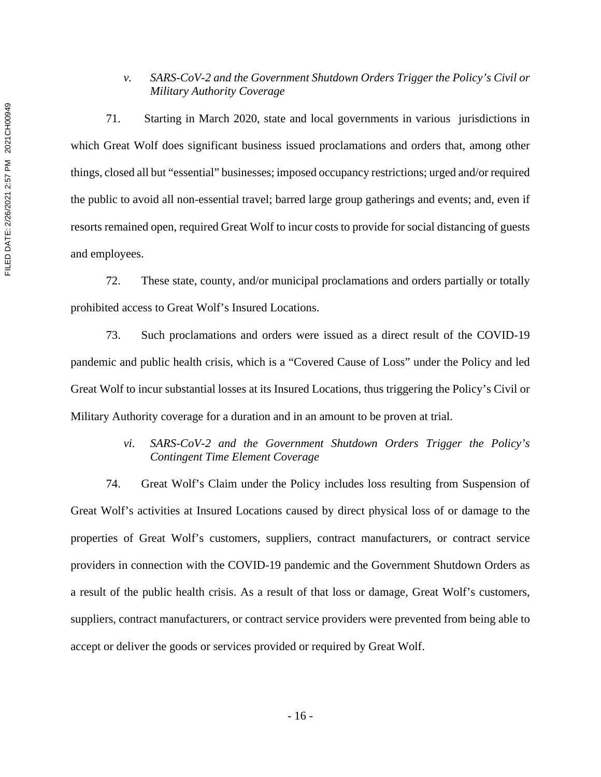# *v. SARS-CoV-2 and the Government Shutdown Orders Trigger the Policy's Civil or Military Authority Coverage*

71. Starting in March 2020, state and local governments in various jurisdictions in which Great Wolf does significant business issued proclamations and orders that, among other things, closed all but "essential" businesses; imposed occupancy restrictions; urged and/or required the public to avoid all non-essential travel; barred large group gatherings and events; and, even if resorts remained open, required Great Wolf to incur costs to provide for social distancing of guests and employees.

72. These state, county, and/or municipal proclamations and orders partially or totally prohibited access to Great Wolf's Insured Locations.

73. Such proclamations and orders were issued as a direct result of the COVID-19 pandemic and public health crisis, which is a "Covered Cause of Loss" under the Policy and led Great Wolf to incur substantial losses at its Insured Locations, thus triggering the Policy's Civil or Military Authority coverage for a duration and in an amount to be proven at trial.

# *vi. SARS-CoV-2 and the Government Shutdown Orders Trigger the Policy's Contingent Time Element Coverage*

74. Great Wolf's Claim under the Policy includes loss resulting from Suspension of Great Wolf's activities at Insured Locations caused by direct physical loss of or damage to the properties of Great Wolf's customers, suppliers, contract manufacturers, or contract service providers in connection with the COVID-19 pandemic and the Government Shutdown Orders as a result of the public health crisis. As a result of that loss or damage, Great Wolf's customers, suppliers, contract manufacturers, or contract service providers were prevented from being able to accept or deliver the goods or services provided or required by Great Wolf.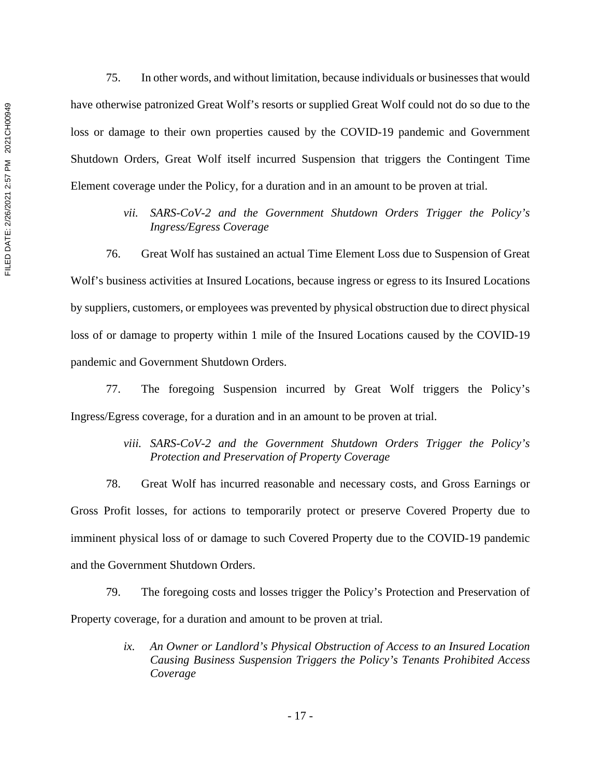75. In other words, and without limitation, because individuals or businesses that would have otherwise patronized Great Wolf's resorts or supplied Great Wolf could not do so due to the loss or damage to their own properties caused by the COVID-19 pandemic and Government Shutdown Orders, Great Wolf itself incurred Suspension that triggers the Contingent Time Element coverage under the Policy, for a duration and in an amount to be proven at trial.

> *vii. SARS-CoV-2 and the Government Shutdown Orders Trigger the Policy's Ingress/Egress Coverage*

76. Great Wolf has sustained an actual Time Element Loss due to Suspension of Great Wolf's business activities at Insured Locations, because ingress or egress to its Insured Locations by suppliers, customers, or employees was prevented by physical obstruction due to direct physical loss of or damage to property within 1 mile of the Insured Locations caused by the COVID-19 pandemic and Government Shutdown Orders.

77. The foregoing Suspension incurred by Great Wolf triggers the Policy's Ingress/Egress coverage, for a duration and in an amount to be proven at trial.

## *viii. SARS-CoV-2 and the Government Shutdown Orders Trigger the Policy's Protection and Preservation of Property Coverage*

78. Great Wolf has incurred reasonable and necessary costs, and Gross Earnings or Gross Profit losses, for actions to temporarily protect or preserve Covered Property due to imminent physical loss of or damage to such Covered Property due to the COVID-19 pandemic and the Government Shutdown Orders.

79. The foregoing costs and losses trigger the Policy's Protection and Preservation of Property coverage, for a duration and amount to be proven at trial.

> *ix. An Owner or Landlord's Physical Obstruction of Access to an Insured Location Causing Business Suspension Triggers the Policy's Tenants Prohibited Access Coverage*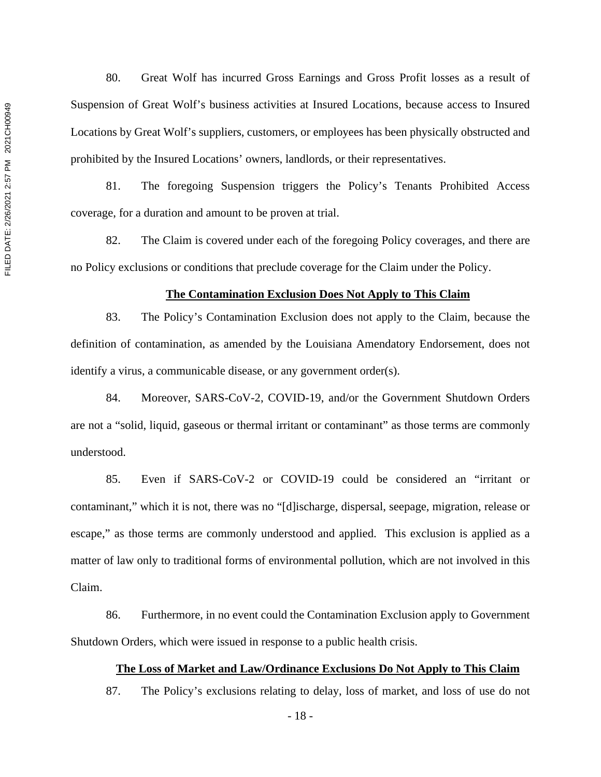80. Great Wolf has incurred Gross Earnings and Gross Profit losses as a result of Suspension of Great Wolf's business activities at Insured Locations, because access to Insured Locations by Great Wolf's suppliers, customers, or employees has been physically obstructed and prohibited by the Insured Locations' owners, landlords, or their representatives.

81. The foregoing Suspension triggers the Policy's Tenants Prohibited Access coverage, for a duration and amount to be proven at trial.

82. The Claim is covered under each of the foregoing Policy coverages, and there are no Policy exclusions or conditions that preclude coverage for the Claim under the Policy.

#### **The Contamination Exclusion Does Not Apply to This Claim**

83. The Policy's Contamination Exclusion does not apply to the Claim, because the definition of contamination, as amended by the Louisiana Amendatory Endorsement, does not identify a virus, a communicable disease, or any government order(s).

84. Moreover, SARS-CoV-2, COVID-19, and/or the Government Shutdown Orders are not a "solid, liquid, gaseous or thermal irritant or contaminant" as those terms are commonly understood.

85. Even if SARS-CoV-2 or COVID-19 could be considered an "irritant or contaminant," which it is not, there was no "[d]ischarge, dispersal, seepage, migration, release or escape," as those terms are commonly understood and applied. This exclusion is applied as a matter of law only to traditional forms of environmental pollution, which are not involved in this Claim.

86. Furthermore, in no event could the Contamination Exclusion apply to Government Shutdown Orders, which were issued in response to a public health crisis.

### **The Loss of Market and Law/Ordinance Exclusions Do Not Apply to This Claim**

87. The Policy's exclusions relating to delay, loss of market, and loss of use do not

- 18 -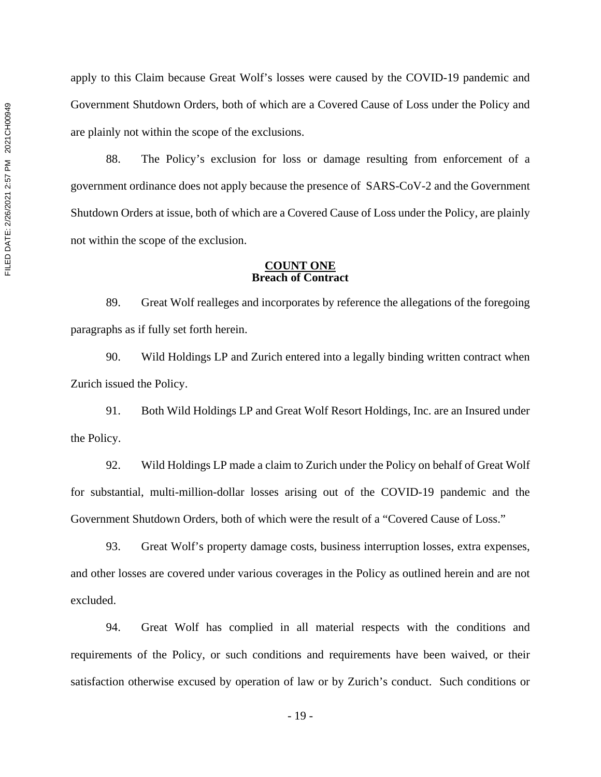apply to this Claim because Great Wolf's losses were caused by the COVID-19 pandemic and Government Shutdown Orders, both of which are a Covered Cause of Loss under the Policy and are plainly not within the scope of the exclusions.

88. The Policy's exclusion for loss or damage resulting from enforcement of a government ordinance does not apply because the presence of SARS-CoV-2 and the Government Shutdown Orders at issue, both of which are a Covered Cause of Loss under the Policy, are plainly not within the scope of the exclusion.

### **COUNT ONE Breach of Contract**

89. Great Wolf realleges and incorporates by reference the allegations of the foregoing paragraphs as if fully set forth herein.

90. Wild Holdings LP and Zurich entered into a legally binding written contract when Zurich issued the Policy.

91. Both Wild Holdings LP and Great Wolf Resort Holdings, Inc. are an Insured under the Policy.

92. Wild Holdings LP made a claim to Zurich under the Policy on behalf of Great Wolf for substantial, multi-million-dollar losses arising out of the COVID-19 pandemic and the Government Shutdown Orders, both of which were the result of a "Covered Cause of Loss."

93. Great Wolf's property damage costs, business interruption losses, extra expenses, and other losses are covered under various coverages in the Policy as outlined herein and are not excluded.

94. Great Wolf has complied in all material respects with the conditions and requirements of the Policy, or such conditions and requirements have been waived, or their satisfaction otherwise excused by operation of law or by Zurich's conduct. Such conditions or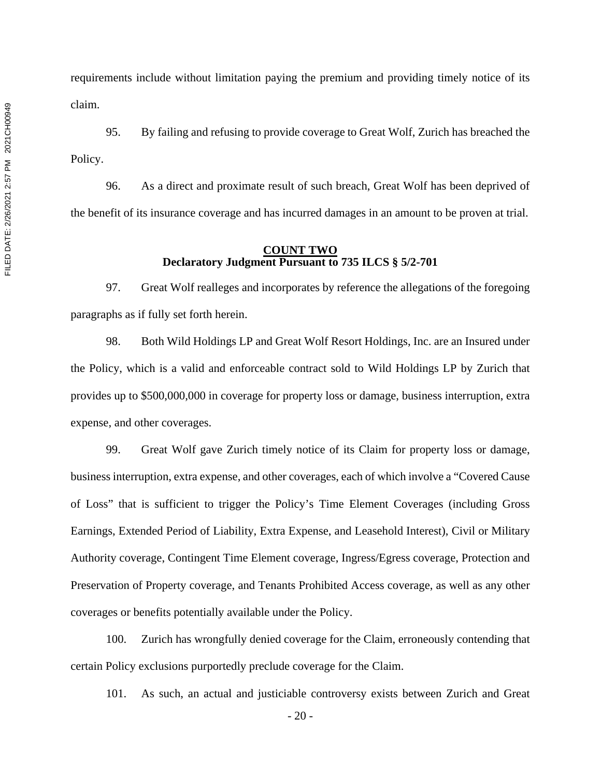requirements include without limitation paying the premium and providing timely notice of its claim.

95. By failing and refusing to provide coverage to Great Wolf, Zurich has breached the Policy.

96. As a direct and proximate result of such breach, Great Wolf has been deprived of the benefit of its insurance coverage and has incurred damages in an amount to be proven at trial.

### **COUNT TWO Declaratory Judgment Pursuant to 735 ILCS § 5/2-701**

97. Great Wolf realleges and incorporates by reference the allegations of the foregoing paragraphs as if fully set forth herein.

98. Both Wild Holdings LP and Great Wolf Resort Holdings, Inc. are an Insured under the Policy, which is a valid and enforceable contract sold to Wild Holdings LP by Zurich that provides up to \$500,000,000 in coverage for property loss or damage, business interruption, extra expense, and other coverages.

99. Great Wolf gave Zurich timely notice of its Claim for property loss or damage, business interruption, extra expense, and other coverages, each of which involve a "Covered Cause of Loss" that is sufficient to trigger the Policy's Time Element Coverages (including Gross Earnings, Extended Period of Liability, Extra Expense, and Leasehold Interest), Civil or Military Authority coverage, Contingent Time Element coverage, Ingress/Egress coverage, Protection and Preservation of Property coverage, and Tenants Prohibited Access coverage, as well as any other coverages or benefits potentially available under the Policy.

100. Zurich has wrongfully denied coverage for the Claim, erroneously contending that certain Policy exclusions purportedly preclude coverage for the Claim.

101. As such, an actual and justiciable controversy exists between Zurich and Great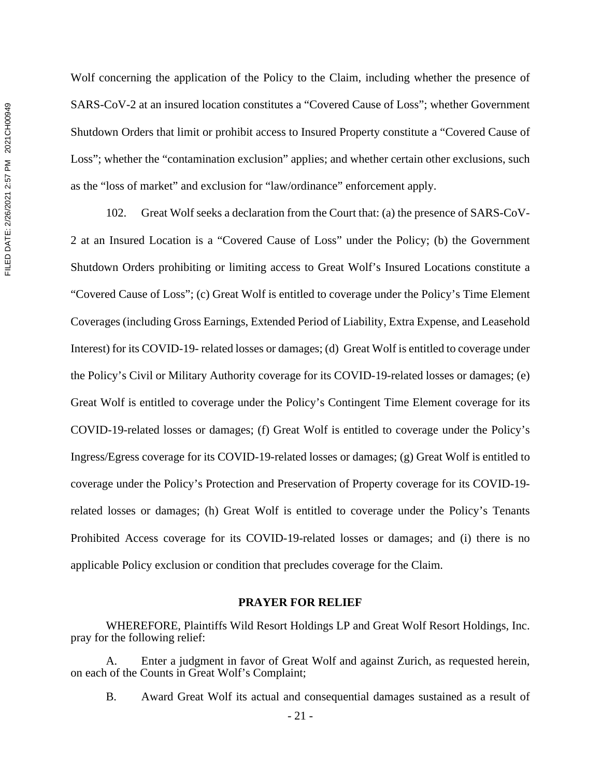Wolf concerning the application of the Policy to the Claim, including whether the presence of SARS-CoV-2 at an insured location constitutes a "Covered Cause of Loss"; whether Government Shutdown Orders that limit or prohibit access to Insured Property constitute a "Covered Cause of Loss"; whether the "contamination exclusion" applies; and whether certain other exclusions, such as the "loss of market" and exclusion for "law/ordinance" enforcement apply.

102. Great Wolf seeks a declaration from the Court that: (a) the presence of SARS-CoV-2 at an Insured Location is a "Covered Cause of Loss" under the Policy; (b) the Government Shutdown Orders prohibiting or limiting access to Great Wolf's Insured Locations constitute a "Covered Cause of Loss"; (c) Great Wolf is entitled to coverage under the Policy's Time Element Coverages (including Gross Earnings, Extended Period of Liability, Extra Expense, and Leasehold Interest) for its COVID-19- related losses or damages; (d) Great Wolf is entitled to coverage under the Policy's Civil or Military Authority coverage for its COVID-19-related losses or damages; (e) Great Wolf is entitled to coverage under the Policy's Contingent Time Element coverage for its COVID-19-related losses or damages; (f) Great Wolf is entitled to coverage under the Policy's Ingress/Egress coverage for its COVID-19-related losses or damages; (g) Great Wolf is entitled to coverage under the Policy's Protection and Preservation of Property coverage for its COVID-19 related losses or damages; (h) Great Wolf is entitled to coverage under the Policy's Tenants Prohibited Access coverage for its COVID-19-related losses or damages; and (i) there is no applicable Policy exclusion or condition that precludes coverage for the Claim.

### **PRAYER FOR RELIEF**

WHEREFORE, Plaintiffs Wild Resort Holdings LP and Great Wolf Resort Holdings, Inc. pray for the following relief:

A. Enter a judgment in favor of Great Wolf and against Zurich, as requested herein, on each of the Counts in Great Wolf's Complaint;

B. Award Great Wolf its actual and consequential damages sustained as a result of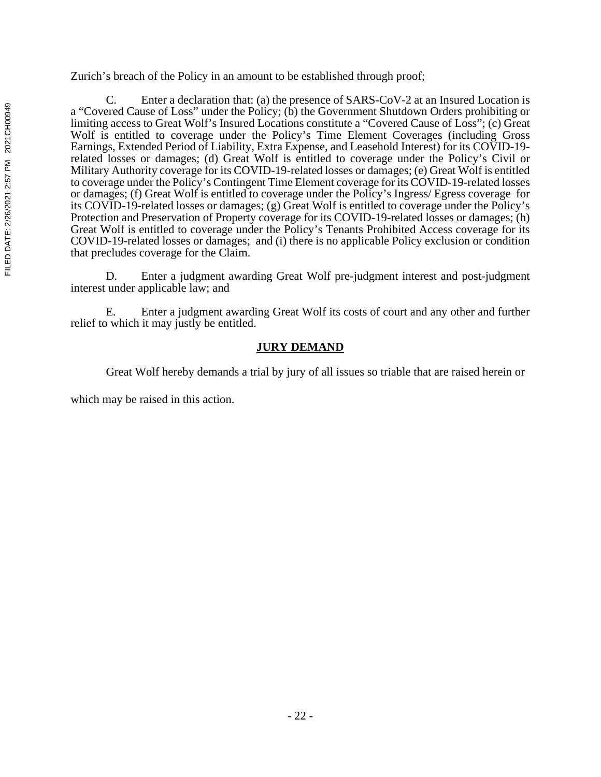Zurich's breach of the Policy in an amount to be established through proof;

C. Enter a declaration that: (a) the presence of SARS-CoV-2 at an Insured Location is a "Covered Cause of Loss" under the Policy; (b) the Government Shutdown Orders prohibiting or limiting access to Great Wolf's Insured Locations constitute a "Covered Cause of Loss"; (c) Great Wolf is entitled to coverage under the Policy's Time Element Coverages (including Gross Earnings, Extended Period of Liability, Extra Expense, and Leasehold Interest) for its COVID-19 related losses or damages; (d) Great Wolf is entitled to coverage under the Policy's Civil or Military Authority coverage for its COVID-19-related losses or damages; (e) Great Wolf is entitled to coverage under the Policy's Contingent Time Element coverage for its COVID-19-related losses or damages; (f) Great Wolf is entitled to coverage under the Policy's Ingress/ Egress coverage for its COVID-19-related losses or damages; (g) Great Wolf is entitled to coverage under the Policy's Protection and Preservation of Property coverage for its COVID-19-related losses or damages; (h) Great Wolf is entitled to coverage under the Policy's Tenants Prohibited Access coverage for its COVID-19-related losses or damages; and (i) there is no applicable Policy exclusion or condition that precludes coverage for the Claim.

D. Enter a judgment awarding Great Wolf pre-judgment interest and post-judgment interest under applicable law; and

E. Enter a judgment awarding Great Wolf its costs of court and any other and further relief to which it may justly be entitled.

# **JURY DEMAND**

Great Wolf hereby demands a trial by jury of all issues so triable that are raised herein or

which may be raised in this action.